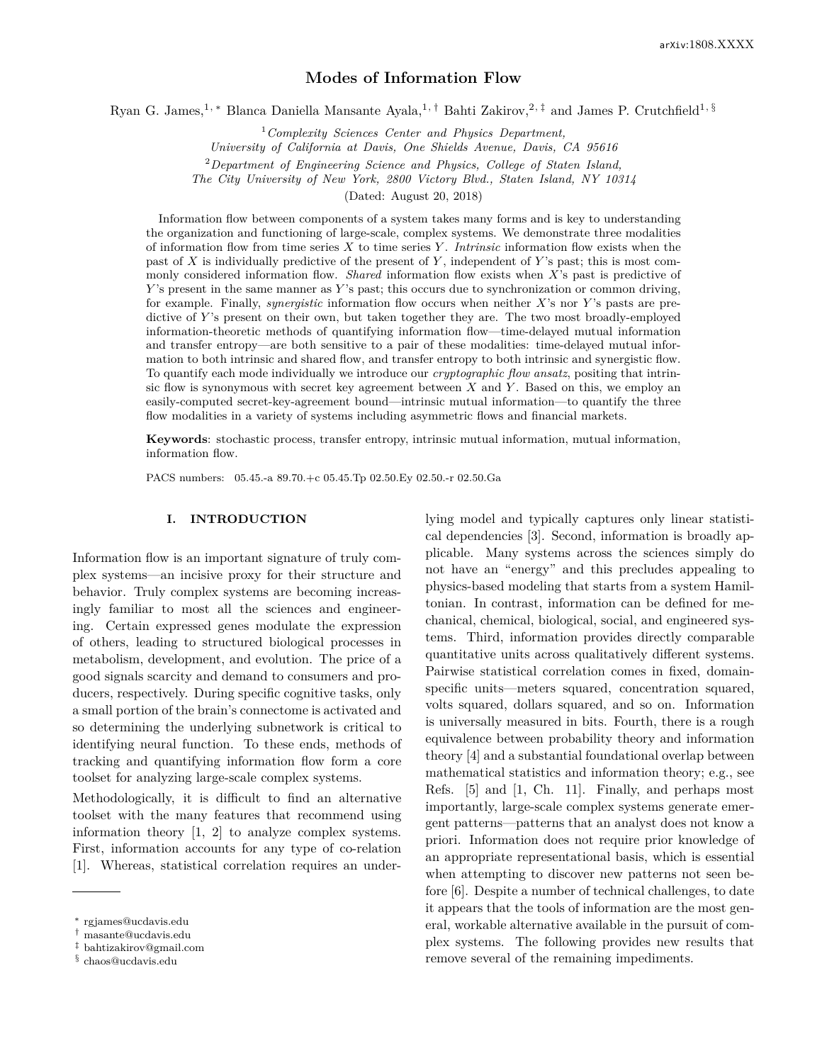# **Modes of Information Flow**

Ryan G. James,<sup>1, ∗</sup> Blanca Daniella Mansante Ayala,<sup>1,†</sup> Bahti Zakirov,<sup>2,‡</sup> and James P. Crutchfield<sup>1, §</sup>

<sup>1</sup>*Complexity Sciences Center and Physics Department,*

*University of California at Davis, One Shields Avenue, Davis, CA 95616*

<sup>2</sup>*Department of Engineering Science and Physics, College of Staten Island,*

*The City University of New York, 2800 Victory Blvd., Staten Island, NY 10314*

(Dated: August 20, 2018)

Information flow between components of a system takes many forms and is key to understanding the organization and functioning of large-scale, complex systems. We demonstrate three modalities of information flow from time series *X* to time series *Y* . *Intrinsic* information flow exists when the past of *X* is individually predictive of the present of *Y* , independent of *Y* 's past; this is most commonly considered information flow. *Shared* information flow exists when *X*'s past is predictive of *Y*'s present in the same manner as *Y*'s past; this occurs due to synchronization or common driving, for example. Finally, *synergistic* information flow occurs when neither *X*'s nor *Y* 's pasts are predictive of *Y* 's present on their own, but taken together they are. The two most broadly-employed information-theoretic methods of quantifying information flow—time-delayed mutual information and transfer entropy—are both sensitive to a pair of these modalities: time-delayed mutual information to both intrinsic and shared flow, and transfer entropy to both intrinsic and synergistic flow. To quantify each mode individually we introduce our *cryptographic flow ansatz*, positing that intrinsic flow is synonymous with secret key agreement between *X* and *Y* . Based on this, we employ an easily-computed secret-key-agreement bound—intrinsic mutual information—to quantify the three flow modalities in a variety of systems including asymmetric flows and financial markets.

**Keywords**: stochastic process, transfer entropy, intrinsic mutual information, mutual information, information flow.

PACS numbers: 05.45.-a 89.70.+c 05.45.Tp 02.50.Ey 02.50.-r 02.50.Ga

#### **I. INTRODUCTION**

Information flow is an important signature of truly complex systems—an incisive proxy for their structure and behavior. Truly complex systems are becoming increasingly familiar to most all the sciences and engineering. Certain expressed genes modulate the expression of others, leading to structured biological processes in metabolism, development, and evolution. The price of a good signals scarcity and demand to consumers and producers, respectively. During specific cognitive tasks, only a small portion of the brain's connectome is activated and so determining the underlying subnetwork is critical to identifying neural function. To these ends, methods of tracking and quantifying information flow form a core toolset for analyzing large-scale complex systems.

Methodologically, it is difficult to find an alternative toolset with the many features that recommend using information theory [1, 2] to analyze complex systems. First, information accounts for any type of co-relation [1]. Whereas, statistical correlation requires an underlying model and typically captures only linear statistical dependencies [3]. Second, information is broadly applicable. Many systems across the sciences simply do not have an "energy" and this precludes appealing to physics-based modeling that starts from a system Hamiltonian. In contrast, information can be defined for mechanical, chemical, biological, social, and engineered systems. Third, information provides directly comparable quantitative units across qualitatively different systems. Pairwise statistical correlation comes in fixed, domainspecific units—meters squared, concentration squared, volts squared, dollars squared, and so on. Information is universally measured in bits. Fourth, there is a rough equivalence between probability theory and information theory [4] and a substantial foundational overlap between mathematical statistics and information theory; e.g., see Refs. [5] and [1, Ch. 11]. Finally, and perhaps most importantly, large-scale complex systems generate emergent patterns—patterns that an analyst does not know a priori. Information does not require prior knowledge of an appropriate representational basis, which is essential when attempting to discover new patterns not seen before [6]. Despite a number of technical challenges, to date it appears that the tools of information are the most general, workable alternative available in the pursuit of complex systems. The following provides new results that remove several of the remaining impediments.

<sup>∗</sup> rgjames@ucdavis.edu

<sup>†</sup> masante@ucdavis.edu

<sup>‡</sup> bahtizakirov@gmail.com

<sup>§</sup> chaos@ucdavis.edu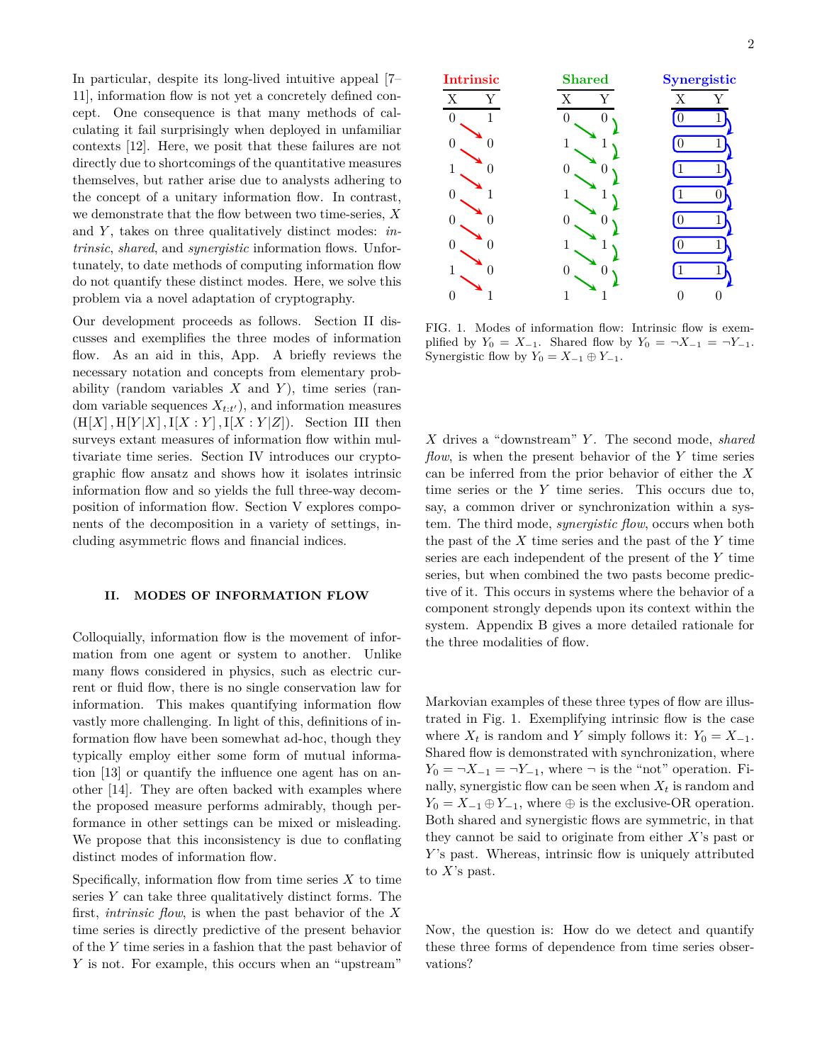In particular, despite its long-lived intuitive appeal [7– 11], information flow is not yet a concretely defined concept. One consequence is that many methods of calculating it fail surprisingly when deployed in unfamiliar contexts [12]. Here, we posit that these failures are not directly due to shortcomings of the quantitative measures themselves, but rather arise due to analysts adhering to the concept of a unitary information flow. In contrast, we demonstrate that the flow between two time-series, *X* and *Y*, takes on three qualitatively distinct modes: *intrinsic*, *shared*, and *synergistic* information flows. Unfortunately, to date methods of computing information flow do not quantify these distinct modes. Here, we solve this problem via a novel adaptation of cryptography.

Our development proceeds as follows. Section II discusses and exemplifies the three modes of information flow. As an aid in this, App. A briefly reviews the necessary notation and concepts from elementary probability (random variables *X* and *Y* ), time series (random variable sequences  $X_{t:t'}$ , and information measures  $(H[X], H[Y|X], I[X:Y], I[X:Y|Z])$ . Section III then surveys extant measures of information flow within multivariate time series. Section IV introduces our cryptographic flow ansatz and shows how it isolates intrinsic information flow and so yields the full three-way decomposition of information flow. Section V explores components of the decomposition in a variety of settings, including asymmetric flows and financial indices.

### **II. MODES OF INFORMATION FLOW**

Colloquially, information flow is the movement of information from one agent or system to another. Unlike many flows considered in physics, such as electric current or fluid flow, there is no single conservation law for information. This makes quantifying information flow vastly more challenging. In light of this, definitions of information flow have been somewhat ad-hoc, though they typically employ either some form of mutual information [13] or quantify the influence one agent has on another [14]. They are often backed with examples where the proposed measure performs admirably, though performance in other settings can be mixed or misleading. We propose that this inconsistency is due to conflating distinct modes of information flow.

Specifically, information flow from time series *X* to time series *Y* can take three qualitatively distinct forms. The first, *intrinsic flow*, is when the past behavior of the *X* time series is directly predictive of the present behavior of the *Y* time series in a fashion that the past behavior of *Y* is not. For example, this occurs when an "upstream"



FIG. 1. Modes of information flow: Intrinsic flow is exemplified by  $Y_0 = X_{-1}$ . Shared flow by  $Y_0 = \neg X_{-1} = \neg Y_{-1}$ . Synergistic flow by  $Y_0 = X_{-1} \oplus Y_{-1}$ .

*X* drives a "downstream" *Y* . The second mode, *shared flow*, is when the present behavior of the *Y* time series can be inferred from the prior behavior of either the *X* time series or the *Y* time series. This occurs due to, say, a common driver or synchronization within a system. The third mode, *synergistic flow*, occurs when both the past of the *X* time series and the past of the *Y* time series are each independent of the present of the *Y* time series, but when combined the two pasts become predictive of it. This occurs in systems where the behavior of a component strongly depends upon its context within the system. Appendix B gives a more detailed rationale for the three modalities of flow.

Markovian examples of these three types of flow are illustrated in Fig. 1. Exemplifying intrinsic flow is the case where  $X_t$  is random and *Y* simply follows it:  $Y_0 = X_{-1}$ . Shared flow is demonstrated with synchronization, where  $Y_0 = \neg X_{-1} = \neg Y_{-1}$ , where  $\neg$  is the "not" operation. Finally, synergistic flow can be seen when  $X_t$  is random and  $Y_0 = X_{-1} \oplus Y_{-1}$ , where  $\oplus$  is the exclusive-OR operation. Both shared and synergistic flows are symmetric, in that they cannot be said to originate from either *X*'s past or *Y*'s past. Whereas, intrinsic flow is uniquely attributed to *X*'s past.

Now, the question is: How do we detect and quantify these three forms of dependence from time series observations?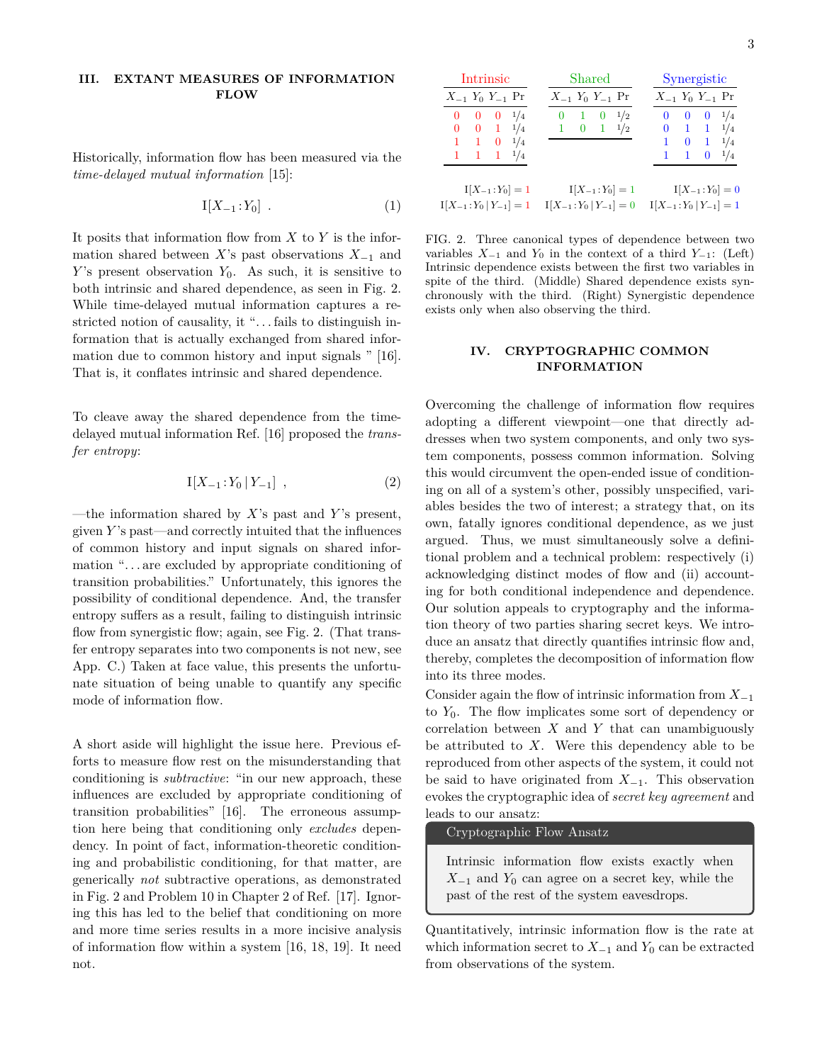### **III. EXTANT MEASURES OF INFORMATION FLOW**

Historically, information flow has been measured via the *time-delayed mutual information* [15]:

$$
I[X_{-1}:Y_0] \t\t(1)
$$

It posits that information flow from *X* to *Y* is the information shared between *X*'s past observations *X*−<sup>1</sup> and *Y*'s present observation *Y*<sub>0</sub>. As such, it is sensitive to both intrinsic and shared dependence, as seen in Fig. 2. While time-delayed mutual information captures a restricted notion of causality, it ". . . fails to distinguish information that is actually exchanged from shared information due to common history and input signals " [16]. That is, it conflates intrinsic and shared dependence.

To cleave away the shared dependence from the timedelayed mutual information Ref. [16] proposed the *transfer entropy*:

$$
I[X_{-1}:Y_0 | Y_{-1}], \qquad (2)
$$

—the information shared by *X*'s past and *Y* 's present, given *Y* 's past—and correctly intuited that the influences of common history and input signals on shared information ". . . are excluded by appropriate conditioning of transition probabilities." Unfortunately, this ignores the possibility of conditional dependence. And, the transfer entropy suffers as a result, failing to distinguish intrinsic flow from synergistic flow; again, see Fig. 2. (That transfer entropy separates into two components is not new, see App. C.) Taken at face value, this presents the unfortunate situation of being unable to quantify any specific mode of information flow.

A short aside will highlight the issue here. Previous efforts to measure flow rest on the misunderstanding that conditioning is *subtractive*: "in our new approach, these influences are excluded by appropriate conditioning of transition probabilities" [16]. The erroneous assumption here being that conditioning only *excludes* dependency. In point of fact, information-theoretic conditioning and probabilistic conditioning, for that matter, are generically *not* subtractive operations, as demonstrated in Fig. 2 and Problem 10 in Chapter 2 of Ref. [17]. Ignoring this has led to the belief that conditioning on more and more time series results in a more incisive analysis of information flow within a system [16, 18, 19]. It need not.

| <b>Intrinsic</b>              | Shared                     | Synergistic                |  |
|-------------------------------|----------------------------|----------------------------|--|
| $X_{-1}$ $Y_0$ $Y_{-1}$ Pr    | $X_{-1}$ $Y_0$ $Y_{-1}$ Pr | $X_{-1}$ $Y_0$ $Y_{-1}$ Pr |  |
| $0 \t 0 \t 0 \t 1/4$          | $0 \t1 \t0 \t1/2$          | $0 \t 0 \t 0 \t 1/4$       |  |
| $0 \t 0 \t 1 \t 1/4$          | $1 \t 0 \t 1 \t 1/2$       | $0 \t1 \t1 \t1/4$          |  |
| 1 1 0 $1/4$                   |                            | $1 \t 0 \t 1 \t 1/4$       |  |
| $1 \quad 1 \quad 1 \quad 1/4$ |                            | $1\quad 1\quad 0$<br>1/4   |  |
|                               |                            |                            |  |
| $I[X_{-1}:Y_0]=1$             | $I[X_{-1}:Y_0]=1$          | $I[X_{-1}:Y_0]=0$          |  |
| $I[X_{-1}:Y_0 Y_{-1}]=1$      | $I[X_{-1}:Y_0 Y_{-1}]=0$   | $I[X_{-1}:Y_0 Y_{-1}]=1$   |  |

FIG. 2. Three canonical types of dependence between two variables  $X_{-1}$  and  $Y_0$  in the context of a third  $Y_{-1}$ : (Left) Intrinsic dependence exists between the first two variables in spite of the third. (Middle) Shared dependence exists synchronously with the third. (Right) Synergistic dependence exists only when also observing the third.

## **IV. CRYPTOGRAPHIC COMMON INFORMATION**

Overcoming the challenge of information flow requires adopting a different viewpoint—one that directly addresses when two system components, and only two system components, possess common information. Solving this would circumvent the open-ended issue of conditioning on all of a system's other, possibly unspecified, variables besides the two of interest; a strategy that, on its own, fatally ignores conditional dependence, as we just argued. Thus, we must simultaneously solve a definitional problem and a technical problem: respectively (i) acknowledging distinct modes of flow and (ii) accounting for both conditional independence and dependence. Our solution appeals to cryptography and the information theory of two parties sharing secret keys. We introduce an ansatz that directly quantifies intrinsic flow and, thereby, completes the decomposition of information flow into its three modes.

Consider again the flow of intrinsic information from *X*−<sup>1</sup> to *Y*0. The flow implicates some sort of dependency or correlation between *X* and *Y* that can unambiguously be attributed to *X*. Were this dependency able to be reproduced from other aspects of the system, it could not be said to have originated from *X*−<sup>1</sup>. This observation evokes the cryptographic idea of *secret key agreement* and leads to our ansatz:

Cryptographic Flow Ansatz

Intrinsic information flow exists exactly when *X*−<sup>1</sup> and *Y*<sup>0</sup> can agree on a secret key, while the past of the rest of the system eavesdrops.

Quantitatively, intrinsic information flow is the rate at which information secret to  $X_{-1}$  and  $Y_0$  can be extracted from observations of the system.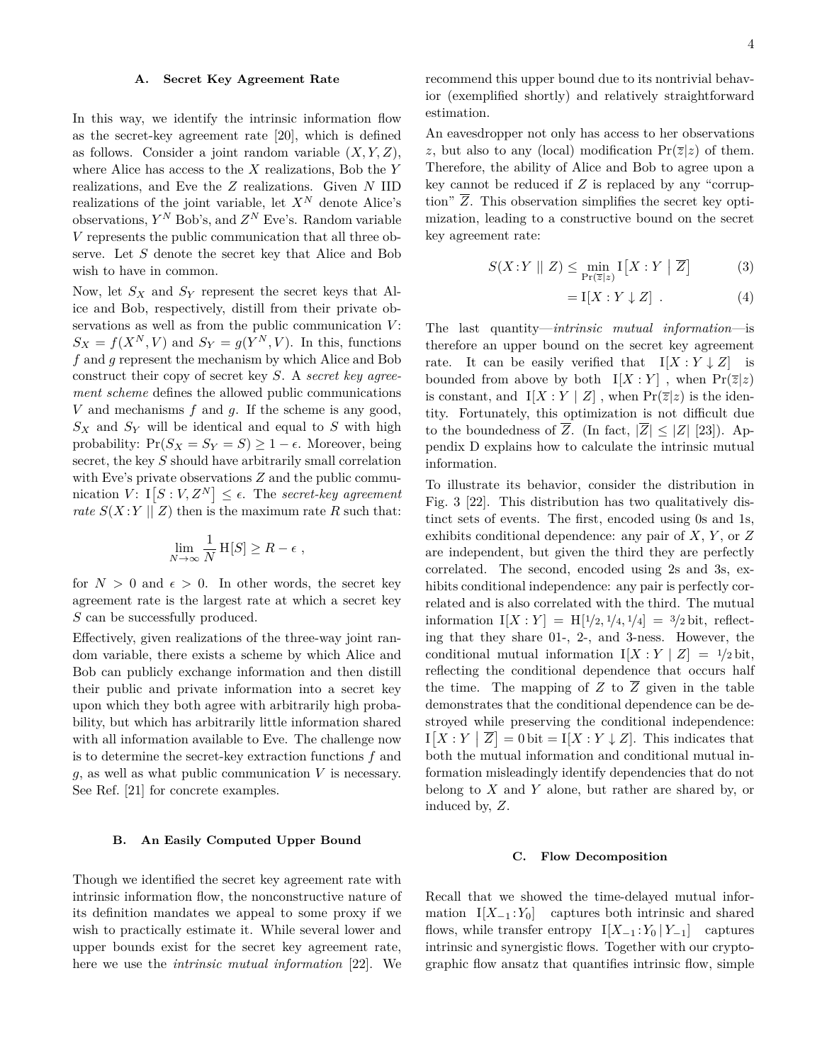#### **A. Secret Key Agreement Rate**

In this way, we identify the intrinsic information flow as the secret-key agreement rate [20], which is defined as follows. Consider a joint random variable (*X, Y, Z*), where Alice has access to the *X* realizations, Bob the *Y* realizations, and Eve the *Z* realizations. Given *N* IID realizations of the joint variable, let  $X^N$  denote Alice's observations, *Y <sup>N</sup>* Bob's, and *Z <sup>N</sup>* Eve's. Random variable *V* represents the public communication that all three observe. Let *S* denote the secret key that Alice and Bob wish to have in common.

Now, let *S<sup>X</sup>* and *S<sup>Y</sup>* represent the secret keys that Alice and Bob, respectively, distill from their private observations as well as from the public communication *V* :  $S_X = f(X^N, V)$  and  $S_Y = g(Y^N, V)$ . In this, functions *f* and *g* represent the mechanism by which Alice and Bob construct their copy of secret key *S*. A *secret key agreement scheme* defines the allowed public communications *V* and mechanisms *f* and *g*. If the scheme is any good,  $S_X$  and  $S_Y$  will be identical and equal to  $S$  with high probability:  $Pr(S_X = S_Y = S) \geq 1 - \epsilon$ . Moreover, being secret, the key *S* should have arbitrarily small correlation with Eve's private observations  $Z$  and the public communication  $V: \mathbb{I}[S:V, Z^N] \leq \epsilon$ . The *secret-key agreement rate*  $S(X;Y||Z)$  then is the maximum rate R such that:

$$
\lim_{N \to \infty} \frac{1}{N} \, \mathrm{H}[S] \ge R - \epsilon \;,
$$

for  $N > 0$  and  $\epsilon > 0$ . In other words, the secret key agreement rate is the largest rate at which a secret key *S* can be successfully produced.

Effectively, given realizations of the three-way joint random variable, there exists a scheme by which Alice and Bob can publicly exchange information and then distill their public and private information into a secret key upon which they both agree with arbitrarily high probability, but which has arbitrarily little information shared with all information available to Eve. The challenge now is to determine the secret-key extraction functions *f* and *g*, as well as what public communication *V* is necessary. See Ref. [21] for concrete examples.

## **B. An Easily Computed Upper Bound**

Though we identified the secret key agreement rate with intrinsic information flow, the nonconstructive nature of its definition mandates we appeal to some proxy if we wish to practically estimate it. While several lower and upper bounds exist for the secret key agreement rate, here we use the *intrinsic mutual information* [22]. We recommend this upper bound due to its nontrivial behavior (exemplified shortly) and relatively straightforward estimation.

An eavesdropper not only has access to her observations *z*, but also to any (local) modification  $Pr(\overline{z}|z)$  of them. Therefore, the ability of Alice and Bob to agree upon a key cannot be reduced if *Z* is replaced by any "corruption"  $\overline{Z}$ . This observation simplifies the secret key optimization, leading to a constructive bound on the secret key agreement rate:

$$
S(X:Y \mid Z) \le \min_{\Pr(\overline{z}|z)} I[X:Y \mid \overline{Z}] \tag{3}
$$

$$
= \mathcal{I}[X : Y \downarrow Z] . \tag{4}
$$

The last quantity—*intrinsic mutual information*—is therefore an upper bound on the secret key agreement rate. It can be easily verified that  $I[X:Y\downarrow Z]$  is bounded from above by both  $I[X:Y]$ , when  $Pr(\overline{z}|z)$ is constant, and  $I[X:Y | Z]$ , when  $Pr(\overline{z}|z)$  is the identity. Fortunately, this optimization is not difficult due to the boundedness of  $\overline{Z}$ . (In fact,  $|\overline{Z}| \leq |Z|$  [23]). Appendix D explains how to calculate the intrinsic mutual information.

To illustrate its behavior, consider the distribution in Fig. 3 [22]. This distribution has two qualitatively distinct sets of events. The first, encoded using 0s and 1s, exhibits conditional dependence: any pair of *X*, *Y* , or *Z* are independent, but given the third they are perfectly correlated. The second, encoded using 2s and 3s, exhibits conditional independence: any pair is perfectly correlated and is also correlated with the third. The mutual information  $I[X:Y] = H[1/2, 1/4, 1/4] = 3/2$  bit, reflecting that they share 01-, 2-, and 3-ness. However, the conditional mutual information  $I[X:Y|Z] = 1/2$  bit, reflecting the conditional dependence that occurs half the time. The mapping of  $Z$  to  $\overline{Z}$  given in the table demonstrates that the conditional dependence can be destroyed while preserving the conditional independence:  $I[X:Y | \overline{Z}] = 0$  bit =  $I[X:Y \downarrow Z]$ . This indicates that both the mutual information and conditional mutual information misleadingly identify dependencies that do not belong to *X* and *Y* alone, but rather are shared by, or induced by, *Z*.

#### **C. Flow Decomposition**

Recall that we showed the time-delayed mutual information  $I[X_{-1}:Y_0]$  captures both intrinsic and shared flows, while transfer entropy  $I[X_{-1}:Y_0 | Y_{-1}]$  captures intrinsic and synergistic flows. Together with our cryptographic flow ansatz that quantifies intrinsic flow, simple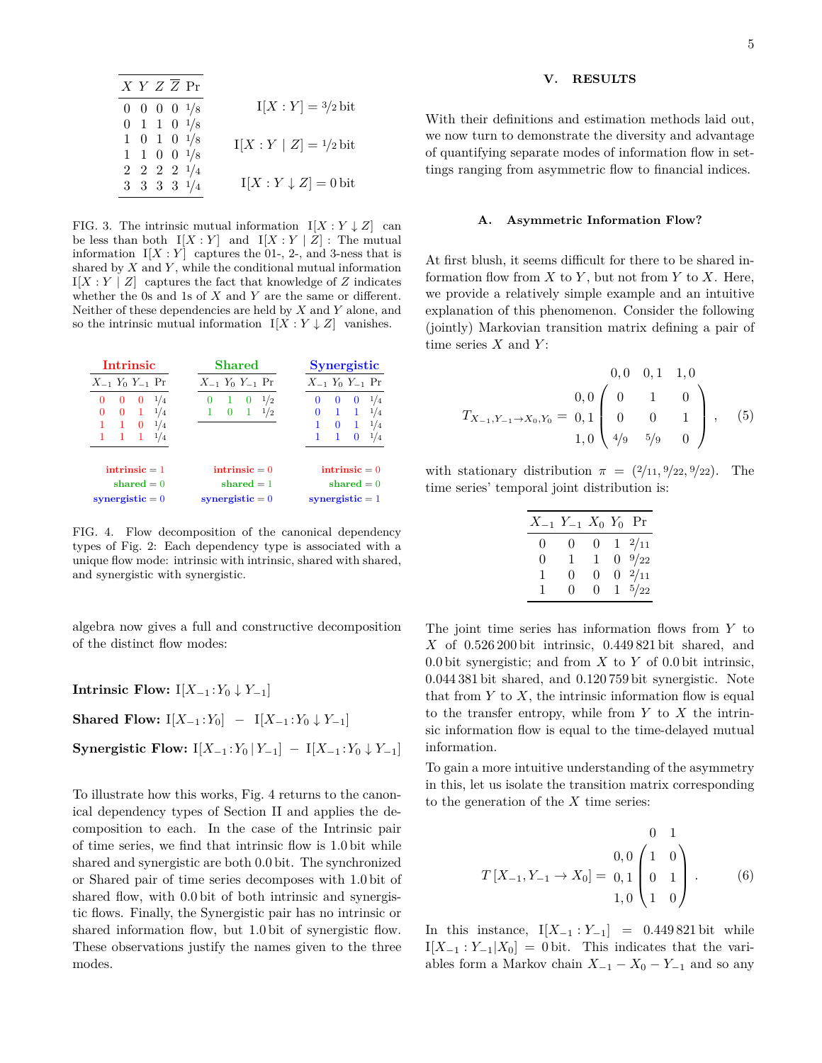| X Y Z Z P r           |  |                                |
|-----------------------|--|--------------------------------|
| $0 \t0 \t0 \t0 \t1/8$ |  | $I[X:Y] = \frac{3}{2}$ bit     |
| $0 \t1 \t1 \t0 \t1/8$ |  |                                |
| $1 \t0 \t1 \t0 \t1/8$ |  | $I[X:Y   Z] = \frac{1}{2}$ bit |
| $1 \t1 \t0 \t0 \t1/8$ |  |                                |
| $2 \t2 \t2 \t1/4$     |  |                                |
| 3 3 3 3 $1/4$         |  | $I[X:Y\downarrow Z]=0$ bit     |

FIG. 3. The intrinsic mutual information  $I[X:Y \downarrow Z]$  can be less than both  $I[X:Y]$  and  $I[X:Y|Z]$ : The mutual information  $I[X:Y]$  captures the 01-, 2-, and 3-ness that is shared by *X* and *Y* , while the conditional mutual information  $I[X:Y \mid Z]$  captures the fact that knowledge of *Z* indicates whether the 0s and 1s of *X* and *Y* are the same or different. Neither of these dependencies are held by *X* and *Y* alone, and so the intrinsic mutual information  $I[X:Y\downarrow Z]$  vanishes.

| <b>Intrinsic</b>           | Shared                     | <b>Synergistic</b>          |  |  |
|----------------------------|----------------------------|-----------------------------|--|--|
| $X_{-1}$ $Y_0$ $Y_{-1}$ Pr | $X_{-1}$ $Y_0$ $Y_{-1}$ Pr | $X_{-1}$ $Y_0$ $Y_{-1}$ Pr  |  |  |
| 1/4<br>0<br>0<br>0         | 1/2<br>0<br>-1<br>0        | 1/4<br>$\bf{0}$<br>$\theta$ |  |  |
| 1/4<br>0<br>$\mathbf{1}$   | $\mathbf{1}$<br>0<br>1/2   | $\mathbf{1}$<br>0           |  |  |
| $\mathbf{1}$<br>0<br>1/4   |                            | $\bf{0}$<br>1/4             |  |  |
| $\mathbf{1}$               |                            | $^{1/4}$                    |  |  |
| intrinsic $=$ 1            | $\text{intrinsic} = 0$     | $\textbf{intrinsic} = 0$    |  |  |
| shared $= 0$               | shared $= 1$               | shared $= 0$                |  |  |
| synergistic $= 0$          | synergistic $= 0$          | synergistic $= 1$           |  |  |

FIG. 4. Flow decomposition of the canonical dependency types of Fig. 2: Each dependency type is associated with a unique flow mode: intrinsic with intrinsic, shared with shared, and synergistic with synergistic.

algebra now gives a full and constructive decomposition of the distinct flow modes:

**Intrinsic Flow:** I[ $X_{-1}$  :  $Y_0$  ↓  $Y_{-1}$ ]

**Shared Flow:**  $I[X_{-1}:Y_0]$  −  $I[X_{-1}:Y_0 \downarrow Y_{-1}]$ 

**Synergistic Flow:**  $I[X_{-1}:Y_0 | Y_{-1}] - I[X_{-1}:Y_0 \downarrow Y_{-1}]$ 

To illustrate how this works, Fig. 4 returns to the canonical dependency types of Section II and applies the decomposition to each. In the case of the Intrinsic pair of time series, we find that intrinsic flow is 1*.*0 bit while shared and synergistic are both 0*.*0 bit. The synchronized or Shared pair of time series decomposes with 1*.*0 bit of shared flow, with 0*.*0 bit of both intrinsic and synergistic flows. Finally, the Synergistic pair has no intrinsic or shared information flow, but 1*.*0 bit of synergistic flow. These observations justify the names given to the three modes.

## **V. RESULTS**

With their definitions and estimation methods laid out, we now turn to demonstrate the diversity and advantage of quantifying separate modes of information flow in settings ranging from asymmetric flow to financial indices.

### **A. Asymmetric Information Flow?**

At first blush, it seems difficult for there to be shared information flow from  $X$  to  $Y$ , but not from  $Y$  to  $X$ . Here, we provide a relatively simple example and an intuitive explanation of this phenomenon. Consider the following (jointly) Markovian transition matrix defining a pair of time series *X* and *Y* :

$$
T_{X_{-1}, Y_{-1} \to X_0, Y_0} = \begin{pmatrix} 0, 0 & 0, 1 & 1, 0 \\ 0 & 1 & 0 \\ 0 & 0 & 1 \\ 1, 0 & 4/9 & 5/9 & 0 \end{pmatrix}, \quad (5)
$$

with stationary distribution  $\pi = (2/11, 9/22, 9/22)$ . The time series' temporal joint distribution is:

| $X_{-1}$ $Y_{-1}$ $X_0$ $Y_0$ Pr |              |                |                  |
|----------------------------------|--------------|----------------|------------------|
| 0                                | 0            | $\overline{0}$ | $1 \frac{2}{11}$ |
| 0                                | 1            | 1.             | $0 \frac{9}{22}$ |
| 1                                | 0            | $\theta$       | $0 \t2/11$       |
| 1.                               | $\mathbf{0}$ | $^{(1)}$       | $1 \frac{5}{22}$ |

The joint time series has information flows from *Y* to *X* of 0*.*526 200 bit intrinsic, 0*.*449 821 bit shared, and 0*.*0 bit synergistic; and from *X* to *Y* of 0*.*0 bit intrinsic, 0*.*044 381 bit shared, and 0*.*120 759 bit synergistic. Note that from  $Y$  to  $X$ , the intrinsic information flow is equal to the transfer entropy, while from *Y* to *X* the intrinsic information flow is equal to the time-delayed mutual information.

To gain a more intuitive understanding of the asymmetry in this, let us isolate the transition matrix corresponding to the generation of the *X* time series:

$$
T[X_{-1}, Y_{-1} \to X_0] = \begin{pmatrix} 0 & 1 \\ 0 & 0 \\ 0 & 1 \\ 1 & 0 \end{pmatrix} . \tag{6}
$$

In this instance,  $I[X_{-1} : Y_{-1}] = 0.449821$  bit while  $I[X_{-1}:Y_{-1}|X_0] = 0$  bit. This indicates that the variables form a Markov chain  $X_{-1} - X_0 - Y_{-1}$  and so any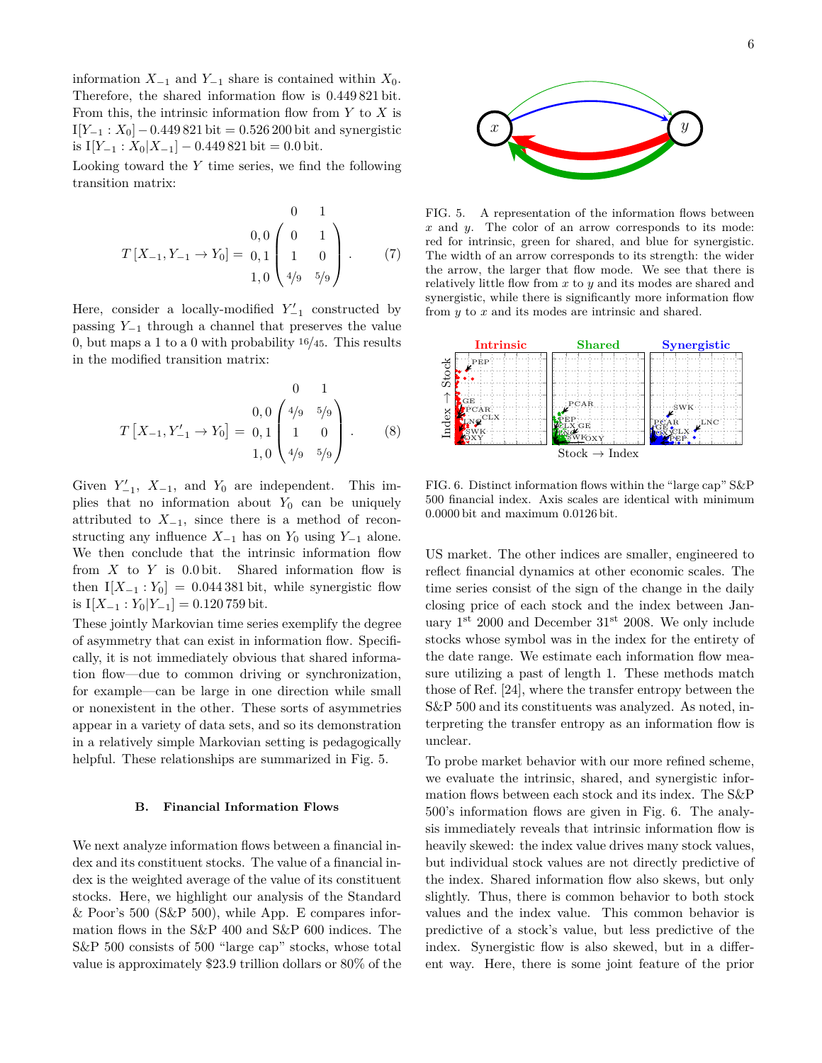information  $X_{-1}$  and  $Y_{-1}$  share is contained within  $X_0$ . Therefore, the shared information flow is 0*.*449 821 bit. From this, the intrinsic information flow from *Y* to *X* is I[*Y*−<sup>1</sup> : *X*0]−0*.*449 821 bit = 0*.*526 200 bit and synergistic is I[ $Y_{-1}$  :  $X_0|X_{-1}$ ] – 0.449 821 bit = 0.0 bit.

Looking toward the *Y* time series, we find the following transition matrix:

$$
T[X_{-1}, Y_{-1} \to Y_0] = \begin{bmatrix} 0 & 0 & 1 \\ 0 & 0 & 1 \\ 1 & 0 & 0 \\ 1, 0 & 4/9 & 5/9 \end{bmatrix} . \tag{7}
$$

Here, consider a locally-modified  $Y'_{-1}$  constructed by passing *Y*−<sup>1</sup> through a channel that preserves the value 0, but maps a 1 to a 0 with probability <sup>16</sup>*/*45. This results in the modified transition matrix:

$$
T\left[X_{-1}, Y'_{-1} \to Y_0\right] = \begin{pmatrix} 0 & 1 \\ 0 & 0 \\ 0 & 1 \end{pmatrix} \begin{pmatrix} 4/9 & 5/9 \\ 1 & 0 \\ 4/9 & 5/9 \end{pmatrix} . \tag{8}
$$

Given  $Y'_{-1}$ ,  $X_{-1}$ , and  $Y_0$  are independent. This implies that no information about  $Y_0$  can be uniquely attributed to  $X_{-1}$ , since there is a method of reconstructing any influence  $X_{-1}$  has on  $Y_0$  using  $Y_{-1}$  alone. We then conclude that the intrinsic information flow from *X* to *Y* is 0*.*0 bit. Shared information flow is then  $I[X_{-1} : Y_0] = 0.044381$  bit, while synergistic flow is  $I[X_{-1} : Y_0 | Y_{-1}] = 0.120759$  bit.

These jointly Markovian time series exemplify the degree of asymmetry that can exist in information flow. Specifically, it is not immediately obvious that shared information flow—due to common driving or synchronization, for example—can be large in one direction while small or nonexistent in the other. These sorts of asymmetries appear in a variety of data sets, and so its demonstration in a relatively simple Markovian setting is pedagogically helpful. These relationships are summarized in Fig. 5.

#### **B. Financial Information Flows**

We next analyze information flows between a financial index and its constituent stocks. The value of a financial index is the weighted average of the value of its constituent stocks. Here, we highlight our analysis of the Standard & Poor's 500 (S&P 500), while App. E compares information flows in the S&P 400 and S&P 600 indices. The S&P 500 consists of 500 "large cap" stocks, whose total value is approximately \$23*.*9 trillion dollars or 80% of the 6



FIG. 5. A representation of the information flows between *x* and *y*. The color of an arrow corresponds to its mode: red for intrinsic, green for shared, and blue for synergistic. The width of an arrow corresponds to its strength: the wider the arrow, the larger that flow mode. We see that there is relatively little flow from *x* to *y* and its modes are shared and synergistic, while there is significantly more information flow from *y* to *x* and its modes are intrinsic and shared.



FIG. 6. Distinct information flows within the "large cap" S&P 500 financial index. Axis scales are identical with minimum 0*.*0000 bit and maximum 0*.*0126 bit.

US market. The other indices are smaller, engineered to reflect financial dynamics at other economic scales. The time series consist of the sign of the change in the daily closing price of each stock and the index between January  $1^{st}$  2000 and December  $31^{st}$  2008. We only include stocks whose symbol was in the index for the entirety of the date range. We estimate each information flow measure utilizing a past of length 1. These methods match those of Ref. [24], where the transfer entropy between the S&P 500 and its constituents was analyzed. As noted, interpreting the transfer entropy as an information flow is unclear.

To probe market behavior with our more refined scheme, we evaluate the intrinsic, shared, and synergistic information flows between each stock and its index. The S&P 500's information flows are given in Fig. 6. The analysis immediately reveals that intrinsic information flow is heavily skewed: the index value drives many stock values, but individual stock values are not directly predictive of the index. Shared information flow also skews, but only slightly. Thus, there is common behavior to both stock values and the index value. This common behavior is predictive of a stock's value, but less predictive of the index. Synergistic flow is also skewed, but in a different way. Here, there is some joint feature of the prior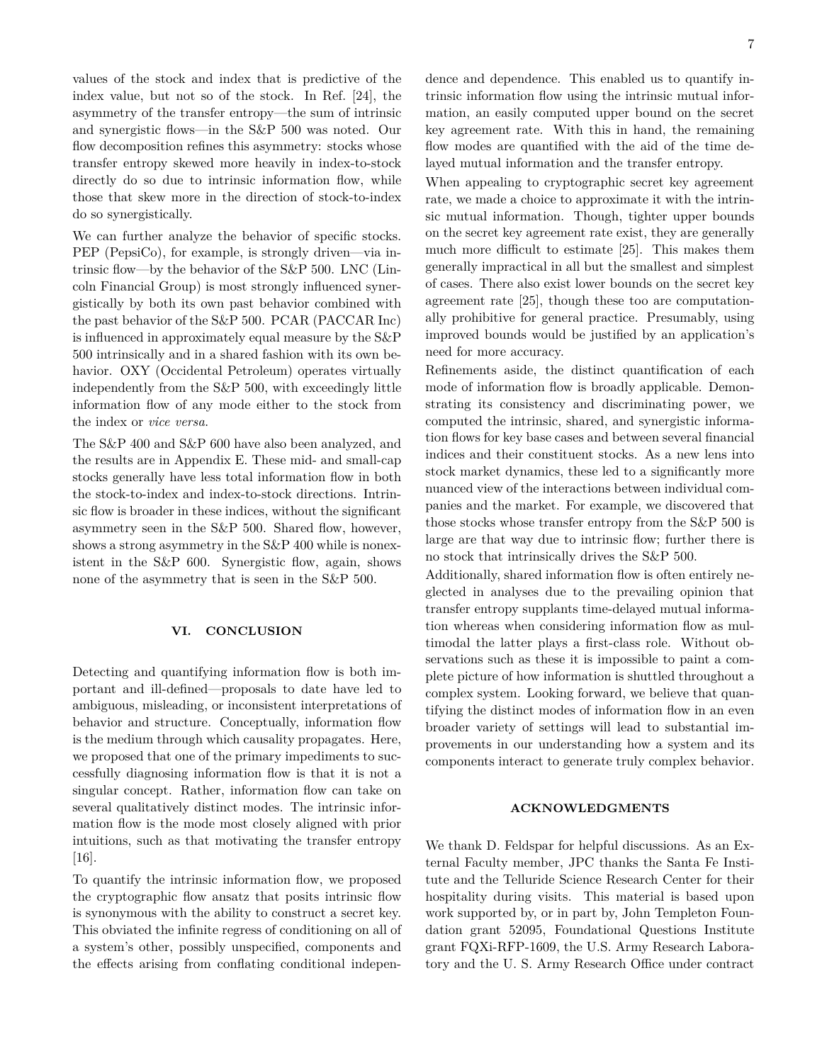values of the stock and index that is predictive of the index value, but not so of the stock. In Ref. [24], the asymmetry of the transfer entropy—the sum of intrinsic and synergistic flows—in the S&P 500 was noted. Our flow decomposition refines this asymmetry: stocks whose transfer entropy skewed more heavily in index-to-stock directly do so due to intrinsic information flow, while those that skew more in the direction of stock-to-index do so synergistically.

We can further analyze the behavior of specific stocks. PEP (PepsiCo), for example, is strongly driven—via intrinsic flow—by the behavior of the S&P 500. LNC (Lincoln Financial Group) is most strongly influenced synergistically by both its own past behavior combined with the past behavior of the S&P 500. PCAR (PACCAR Inc) is influenced in approximately equal measure by the S&P 500 intrinsically and in a shared fashion with its own behavior. OXY (Occidental Petroleum) operates virtually independently from the S&P 500, with exceedingly little information flow of any mode either to the stock from the index or *vice versa*.

The S&P 400 and S&P 600 have also been analyzed, and the results are in Appendix E. These mid- and small-cap stocks generally have less total information flow in both the stock-to-index and index-to-stock directions. Intrinsic flow is broader in these indices, without the significant asymmetry seen in the S&P 500. Shared flow, however, shows a strong asymmetry in the S&P 400 while is nonexistent in the S&P 600. Synergistic flow, again, shows none of the asymmetry that is seen in the S&P 500.

## **VI. CONCLUSION**

Detecting and quantifying information flow is both important and ill-defined—proposals to date have led to ambiguous, misleading, or inconsistent interpretations of behavior and structure. Conceptually, information flow is the medium through which causality propagates. Here, we proposed that one of the primary impediments to successfully diagnosing information flow is that it is not a singular concept. Rather, information flow can take on several qualitatively distinct modes. The intrinsic information flow is the mode most closely aligned with prior intuitions, such as that motivating the transfer entropy [16].

To quantify the intrinsic information flow, we proposed the cryptographic flow ansatz that posits intrinsic flow is synonymous with the ability to construct a secret key. This obviated the infinite regress of conditioning on all of a system's other, possibly unspecified, components and the effects arising from conflating conditional independence and dependence. This enabled us to quantify intrinsic information flow using the intrinsic mutual information, an easily computed upper bound on the secret key agreement rate. With this in hand, the remaining flow modes are quantified with the aid of the time delayed mutual information and the transfer entropy.

When appealing to cryptographic secret key agreement rate, we made a choice to approximate it with the intrinsic mutual information. Though, tighter upper bounds on the secret key agreement rate exist, they are generally much more difficult to estimate [25]. This makes them generally impractical in all but the smallest and simplest of cases. There also exist lower bounds on the secret key agreement rate [25], though these too are computationally prohibitive for general practice. Presumably, using improved bounds would be justified by an application's need for more accuracy.

Refinements aside, the distinct quantification of each mode of information flow is broadly applicable. Demonstrating its consistency and discriminating power, we computed the intrinsic, shared, and synergistic information flows for key base cases and between several financial indices and their constituent stocks. As a new lens into stock market dynamics, these led to a significantly more nuanced view of the interactions between individual companies and the market. For example, we discovered that those stocks whose transfer entropy from the S&P 500 is large are that way due to intrinsic flow; further there is no stock that intrinsically drives the S&P 500.

Additionally, shared information flow is often entirely neglected in analyses due to the prevailing opinion that transfer entropy supplants time-delayed mutual information whereas when considering information flow as multimodal the latter plays a first-class role. Without observations such as these it is impossible to paint a complete picture of how information is shuttled throughout a complex system. Looking forward, we believe that quantifying the distinct modes of information flow in an even broader variety of settings will lead to substantial improvements in our understanding how a system and its components interact to generate truly complex behavior.

## **ACKNOWLEDGMENTS**

We thank D. Feldspar for helpful discussions. As an External Faculty member, JPC thanks the Santa Fe Institute and the Telluride Science Research Center for their hospitality during visits. This material is based upon work supported by, or in part by, John Templeton Foundation grant 52095, Foundational Questions Institute grant FQXi-RFP-1609, the U.S. Army Research Laboratory and the U. S. Army Research Office under contract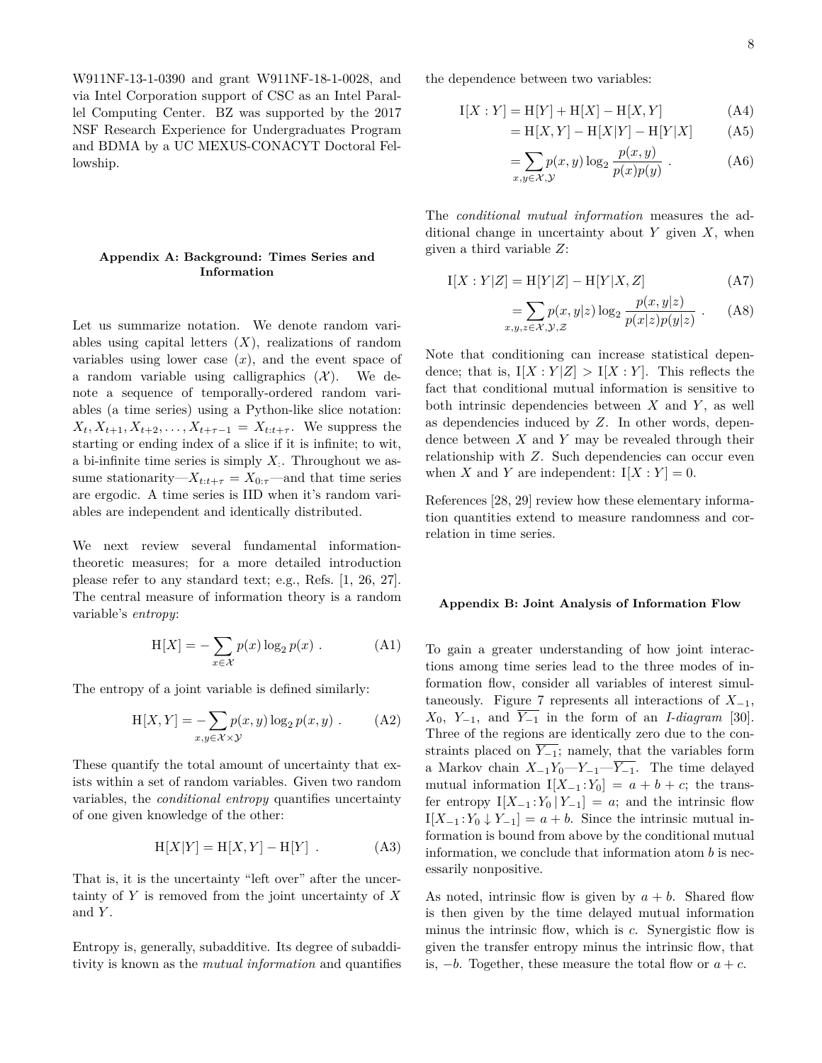W911NF-13-1-0390 and grant W911NF-18-1-0028, and via Intel Corporation support of CSC as an Intel Parallel Computing Center. BZ was supported by the 2017 NSF Research Experience for Undergraduates Program and BDMA by a UC MEXUS-CONACYT Doctoral Fellowship.

# **Appendix A: Background: Times Series and Information**

Let us summarize notation. We denote random variables using capital letters (*X*), realizations of random variables using lower case  $(x)$ , and the event space of a random variable using calligraphics  $(X)$ . We denote a sequence of temporally-ordered random variables (a time series) using a Python-like slice notation:  $X_t, X_{t+1}, X_{t+2}, \ldots, X_{t+\tau-1} = X_{t:t+\tau}$ . We suppress the starting or ending index of a slice if it is infinite; to wit, a bi-infinite time series is simply *X*: . Throughout we assume stationarity— $X_{t:t+\tau} = X_{0:\tau}$ —and that time series are ergodic. A time series is IID when it's random variables are independent and identically distributed.

We next review several fundamental informationtheoretic measures; for a more detailed introduction please refer to any standard text; e.g., Refs. [1, 26, 27]. The central measure of information theory is a random variable's *entropy*:

$$
H[X] = -\sum_{x \in \mathcal{X}} p(x) \log_2 p(x) .
$$
 (A1)

The entropy of a joint variable is defined similarly:

$$
H[X, Y] = -\sum_{x,y \in \mathcal{X} \times \mathcal{Y}} p(x, y) \log_2 p(x, y) .
$$
 (A2)

These quantify the total amount of uncertainty that exists within a set of random variables. Given two random variables, the *conditional entropy* quantifies uncertainty of one given knowledge of the other:

$$
H[X|Y] = H[X,Y] - H[Y] . \tag{A3}
$$

That is, it is the uncertainty "left over" after the uncertainty of *Y* is removed from the joint uncertainty of *X* and *Y* .

Entropy is, generally, subadditive. Its degree of subadditivity is known as the *mutual information* and quantifies the dependence between two variables:

$$
I[X : Y] = H[Y] + H[X] - H[X, Y]
$$
 (A4)

$$
= H[X, Y] - H[X|Y] - H[Y|X]
$$
 (A5)

$$
=\sum_{x,y\in\mathcal{X},\mathcal{Y}}p(x,y)\log_2\frac{p(x,y)}{p(x)p(y)}.
$$
 (A6)

The *conditional mutual information* measures the additional change in uncertainty about *Y* given *X*, when given a third variable *Z*:

$$
I[X : Y|Z] = H[Y|Z] - H[Y|X, Z]
$$
 (A7)

$$
= \sum_{x,y,z \in \mathcal{X},\mathcal{Y},\mathcal{Z}} p(x,y|z) \log_2 \frac{p(x,y|z)}{p(x|z)p(y|z)} . \tag{A8}
$$

Note that conditioning can increase statistical dependence; that is,  $I[X:Y|Z] > I[X:Y]$ . This reflects the fact that conditional mutual information is sensitive to both intrinsic dependencies between *X* and *Y* , as well as dependencies induced by *Z*. In other words, dependence between *X* and *Y* may be revealed through their relationship with *Z*. Such dependencies can occur even when *X* and *Y* are independent:  $I[X:Y] = 0$ .

References [28, 29] review how these elementary information quantities extend to measure randomness and correlation in time series.

#### **Appendix B: Joint Analysis of Information Flow**

To gain a greater understanding of how joint interactions among time series lead to the three modes of information flow, consider all variables of interest simultaneously. Figure 7 represents all interactions of  $X_{-1}$ ,  $X_0$ ,  $Y_{-1}$ , and  $\overline{Y_{-1}}$  in the form of an *I-diagram* [30]. Three of the regions are identically zero due to the constraints placed on  $\overline{Y_{-1}}$ ; namely, that the variables form a Markov chain  $X_{-1}Y_0-Y_{-1}-\overline{Y_{-1}}$ . The time delayed mutual information  $I[X_{-1}:Y_0] = a + b + c$ ; the transfer entropy  $I[X_{-1}:Y_0 | Y_{-1}] = a$ ; and the intrinsic flow  $I[X_{-1}:Y_0 \downarrow Y_{-1}] = a + b$ . Since the intrinsic mutual information is bound from above by the conditional mutual information, we conclude that information atom *b* is necessarily nonpositive.

As noted, intrinsic flow is given by  $a + b$ . Shared flow is then given by the time delayed mutual information minus the intrinsic flow, which is *c*. Synergistic flow is given the transfer entropy minus the intrinsic flow, that is,  $-b$ . Together, these measure the total flow or  $a + c$ .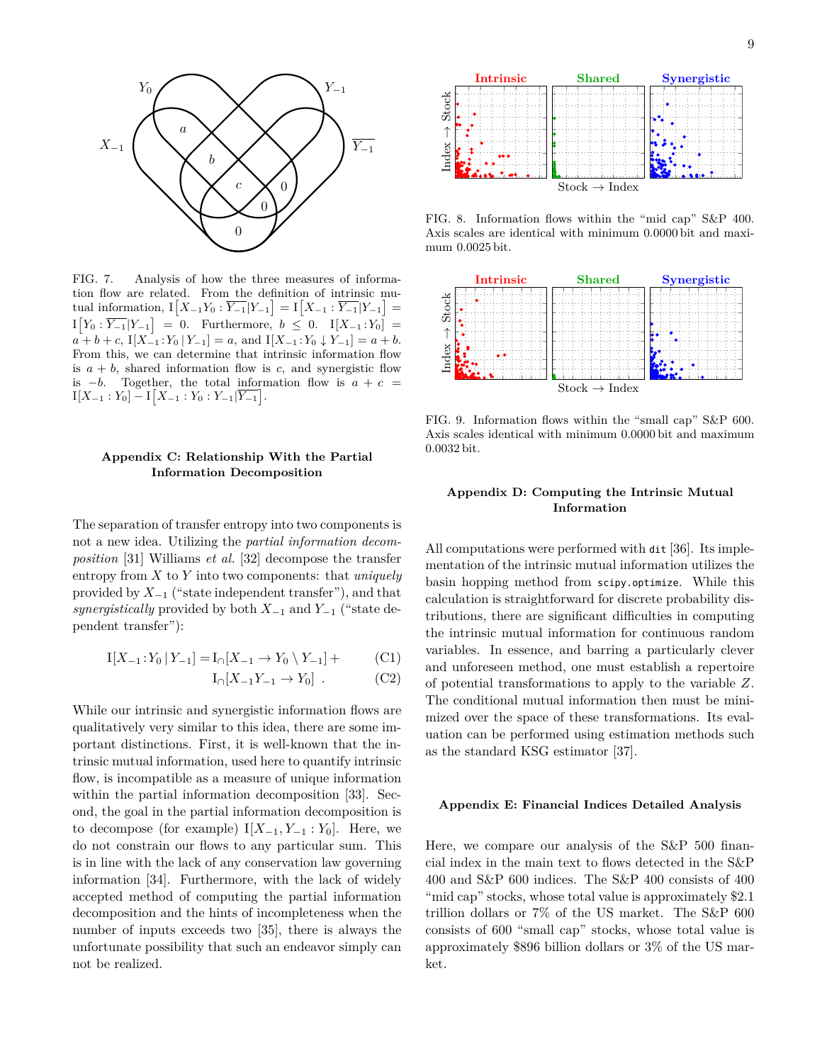

FIG. 7. Analysis of how the three measures of information flow are related. From the definition of intrinsic mutual information,  $I[X_{-1}Y_0 : \overline{Y_{-1}}|Y_{-1}] = I[X_{-1} : \overline{Y_{-1}}|Y_{-1}] =$  $I[Y_0 : \overline{Y_{-1}} | Y_{-1}] = 0.$  Furthermore,  $b \leq 0.$   $I[X_{-1} : Y_0] =$  $a + b + c$ ,  $I[X_{-1}:Y_0 | Y_{-1}] = a$ , and  $I[X_{-1}:Y_0 | Y_{-1}] = a + b$ . From this, we can determine that intrinsic information flow is  $a + b$ , shared information flow is *c*, and synergistic flow is  $-b$ . Together, the total information flow is  $a + c =$  $I[X_{-1}:Y_0] - I[X_{-1}:Y_0:Y_{-1}|\overline{Y_{-1}}].$ 

# **Appendix C: Relationship With the Partial Information Decomposition**

The separation of transfer entropy into two components is not a new idea. Utilizing the *partial information decomposition* [31] Williams *et al.* [32] decompose the transfer entropy from *X* to *Y* into two components: that *uniquely* provided by  $X_{-1}$  ("state independent transfer"), and that *synergistically* provided by both *X*−<sup>1</sup> and *Y*−<sup>1</sup> ("state dependent transfer"):

$$
I[X_{-1}:Y_0 | Y_{-1}] = I_{\cap}[X_{-1} \to Y_0 \setminus Y_{-1}] + \tag{C1}
$$

$$
I_{\cap}[X_{-1}Y_{-1} \to Y_0] \ . \tag{C2}
$$

While our intrinsic and synergistic information flows are qualitatively very similar to this idea, there are some important distinctions. First, it is well-known that the intrinsic mutual information, used here to quantify intrinsic flow, is incompatible as a measure of unique information within the partial information decomposition [33]. Second, the goal in the partial information decomposition is to decompose (for example)  $I[X_{-1}, Y_{-1} : Y_0]$ . Here, we do not constrain our flows to any particular sum. This is in line with the lack of any conservation law governing information [34]. Furthermore, with the lack of widely accepted method of computing the partial information decomposition and the hints of incompleteness when the number of inputs exceeds two [35], there is always the unfortunate possibility that such an endeavor simply can not be realized.



FIG. 8. Information flows within the "mid cap" S&P 400. Axis scales are identical with minimum 0*.*0000 bit and maximum 0*.*0025 bit.



FIG. 9. Information flows within the "small cap" S&P 600. Axis scales identical with minimum 0*.*0000 bit and maximum 0*.*0032 bit.

## **Appendix D: Computing the Intrinsic Mutual Information**

All computations were performed with dit [36]. Its implementation of the intrinsic mutual information utilizes the basin hopping method from scipy.optimize. While this calculation is straightforward for discrete probability distributions, there are significant difficulties in computing the intrinsic mutual information for continuous random variables. In essence, and barring a particularly clever and unforeseen method, one must establish a repertoire of potential transformations to apply to the variable *Z*. The conditional mutual information then must be minimized over the space of these transformations. Its evaluation can be performed using estimation methods such as the standard KSG estimator [37].

## **Appendix E: Financial Indices Detailed Analysis**

Here, we compare our analysis of the S&P 500 financial index in the main text to flows detected in the S&P 400 and S&P 600 indices. The S&P 400 consists of 400 "mid cap" stocks, whose total value is approximately \$2*.*1 trillion dollars or 7% of the US market. The S&P 600 consists of 600 "small cap" stocks, whose total value is approximately \$896 billion dollars or 3% of the US market.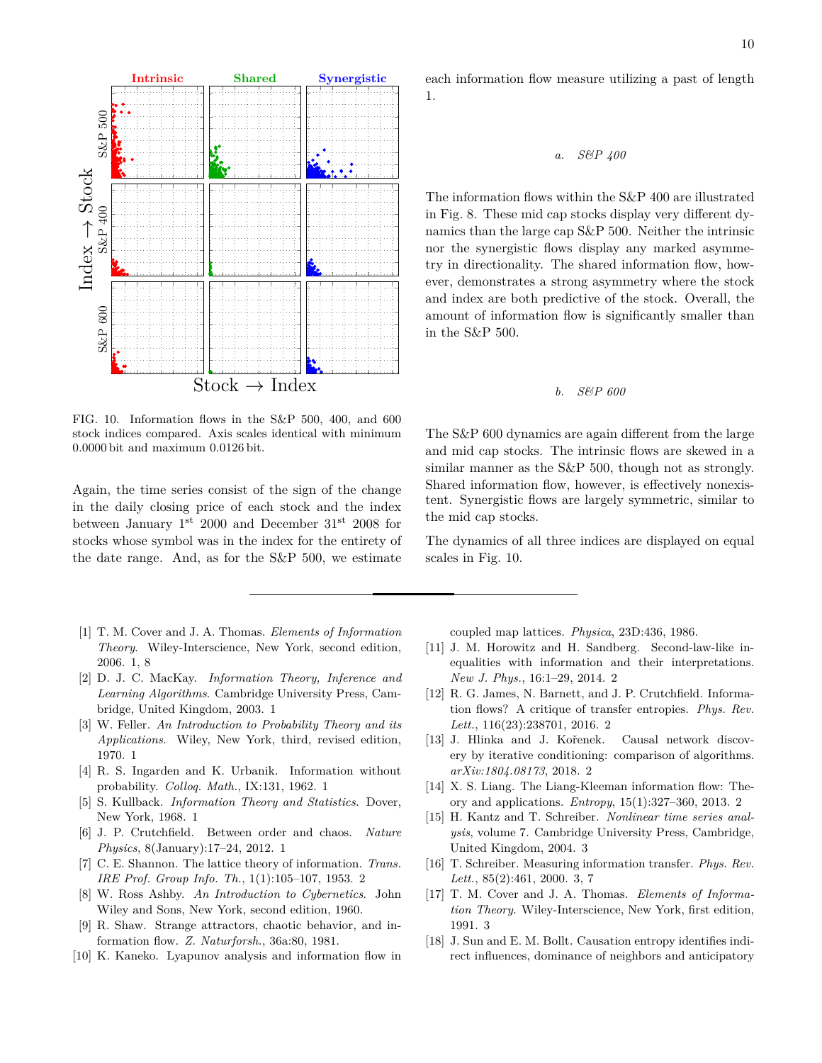

FIG. 10. Information flows in the S&P 500, 400, and 600 stock indices compared. Axis scales identical with minimum 0*.*0000 bit and maximum 0*.*0126 bit.

Again, the time series consist of the sign of the change in the daily closing price of each stock and the index between January 1st 2000 and December 31st 2008 for stocks whose symbol was in the index for the entirety of the date range. And, as for the S&P 500, we estimate

- [1] T. M. Cover and J. A. Thomas. *Elements of Information Theory*. Wiley-Interscience, New York, second edition, 2006. 1, 8
- [2] D. J. C. MacKay. *Information Theory, Inference and Learning Algorithms*. Cambridge University Press, Cambridge, United Kingdom, 2003. 1
- [3] W. Feller. *An Introduction to Probability Theory and its Applications*. Wiley, New York, third, revised edition, 1970. 1
- [4] R. S. Ingarden and K. Urbanik. Information without probability. *Colloq. Math.*, IX:131, 1962. 1
- [5] S. Kullback. *Information Theory and Statistics*. Dover, New York, 1968. 1
- [6] J. P. Crutchfield. Between order and chaos. *Nature Physics*, 8(January):17–24, 2012. 1
- [7] C. E. Shannon. The lattice theory of information. *Trans. IRE Prof. Group Info. Th.*, 1(1):105–107, 1953. 2
- [8] W. Ross Ashby. *An Introduction to Cybernetics*. John Wiley and Sons, New York, second edition, 1960.
- [9] R. Shaw. Strange attractors, chaotic behavior, and information flow. *Z. Naturforsh.*, 36a:80, 1981.
- [10] K. Kaneko. Lyapunov analysis and information flow in

each information flow measure utilizing a past of length 1.

*a. S&P 400*

The information flows within the S&P 400 are illustrated in Fig. 8. These mid cap stocks display very different dynamics than the large cap S&P 500. Neither the intrinsic nor the synergistic flows display any marked asymmetry in directionality. The shared information flow, however, demonstrates a strong asymmetry where the stock and index are both predictive of the stock. Overall, the amount of information flow is significantly smaller than in the S&P 500.

### *b. S&P 600*

The S&P 600 dynamics are again different from the large and mid cap stocks. The intrinsic flows are skewed in a similar manner as the S&P 500, though not as strongly. Shared information flow, however, is effectively nonexistent. Synergistic flows are largely symmetric, similar to the mid cap stocks.

The dynamics of all three indices are displayed on equal scales in Fig. 10.

coupled map lattices. *Physica*, 23D:436, 1986.

- [11] J. M. Horowitz and H. Sandberg. Second-law-like inequalities with information and their interpretations. *New J. Phys.*, 16:1–29, 2014. 2
- [12] R. G. James, N. Barnett, and J. P. Crutchfield. Information flows? A critique of transfer entropies. *Phys. Rev. Lett.*, 116(23):238701, 2016. 2
- [13] J. Hlinka and J. Kořenek. Causal network discovery by iterative conditioning: comparison of algorithms. *arXiv:1804.08173*, 2018. 2
- [14] X. S. Liang. The Liang-Kleeman information flow: Theory and applications. *Entropy*, 15(1):327–360, 2013. 2
- [15] H. Kantz and T. Schreiber. *Nonlinear time series analysis*, volume 7. Cambridge University Press, Cambridge, United Kingdom, 2004. 3
- [16] T. Schreiber. Measuring information transfer. *Phys. Rev. Lett.*, 85(2):461, 2000. 3, 7
- [17] T. M. Cover and J. A. Thomas. *Elements of Information Theory*. Wiley-Interscience, New York, first edition, 1991. 3
- [18] J. Sun and E. M. Bollt. Causation entropy identifies indirect influences, dominance of neighbors and anticipatory